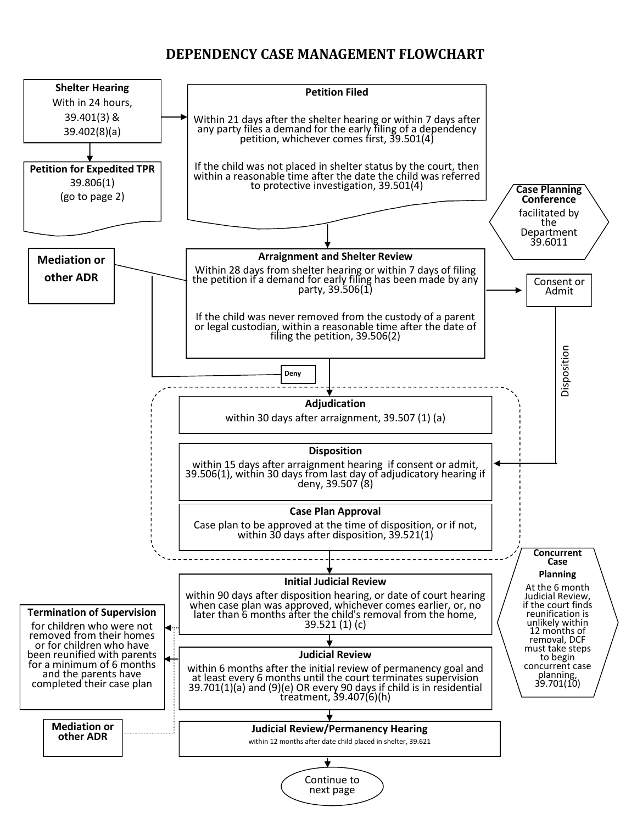## **DEPENDENCY CASE MANAGEMENT FLOWCHART**